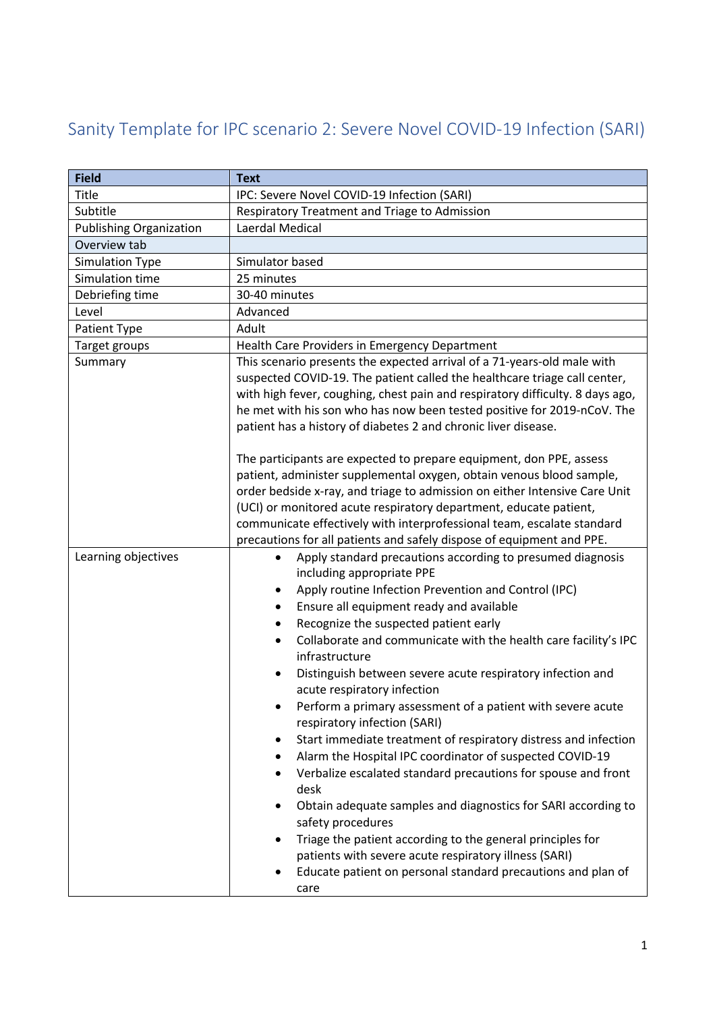## Sanity Template for IPC scenario 2: Severe Novel COVID-19 Infection (SARI)

| <b>Field</b>                   | <b>Text</b>                                                                                                                                                                                                                                                                                                                                                                                                                                                                                                                                                                                                                                                                                                                                                                                                                                                                                                                                                                                                                                                                             |
|--------------------------------|-----------------------------------------------------------------------------------------------------------------------------------------------------------------------------------------------------------------------------------------------------------------------------------------------------------------------------------------------------------------------------------------------------------------------------------------------------------------------------------------------------------------------------------------------------------------------------------------------------------------------------------------------------------------------------------------------------------------------------------------------------------------------------------------------------------------------------------------------------------------------------------------------------------------------------------------------------------------------------------------------------------------------------------------------------------------------------------------|
| Title                          | IPC: Severe Novel COVID-19 Infection (SARI)                                                                                                                                                                                                                                                                                                                                                                                                                                                                                                                                                                                                                                                                                                                                                                                                                                                                                                                                                                                                                                             |
| Subtitle                       | Respiratory Treatment and Triage to Admission                                                                                                                                                                                                                                                                                                                                                                                                                                                                                                                                                                                                                                                                                                                                                                                                                                                                                                                                                                                                                                           |
| <b>Publishing Organization</b> | Laerdal Medical                                                                                                                                                                                                                                                                                                                                                                                                                                                                                                                                                                                                                                                                                                                                                                                                                                                                                                                                                                                                                                                                         |
| Overview tab                   |                                                                                                                                                                                                                                                                                                                                                                                                                                                                                                                                                                                                                                                                                                                                                                                                                                                                                                                                                                                                                                                                                         |
| <b>Simulation Type</b>         | Simulator based                                                                                                                                                                                                                                                                                                                                                                                                                                                                                                                                                                                                                                                                                                                                                                                                                                                                                                                                                                                                                                                                         |
| Simulation time                | 25 minutes                                                                                                                                                                                                                                                                                                                                                                                                                                                                                                                                                                                                                                                                                                                                                                                                                                                                                                                                                                                                                                                                              |
| Debriefing time                | 30-40 minutes                                                                                                                                                                                                                                                                                                                                                                                                                                                                                                                                                                                                                                                                                                                                                                                                                                                                                                                                                                                                                                                                           |
| Level                          | Advanced                                                                                                                                                                                                                                                                                                                                                                                                                                                                                                                                                                                                                                                                                                                                                                                                                                                                                                                                                                                                                                                                                |
| Patient Type                   | Adult                                                                                                                                                                                                                                                                                                                                                                                                                                                                                                                                                                                                                                                                                                                                                                                                                                                                                                                                                                                                                                                                                   |
| Target groups                  | Health Care Providers in Emergency Department                                                                                                                                                                                                                                                                                                                                                                                                                                                                                                                                                                                                                                                                                                                                                                                                                                                                                                                                                                                                                                           |
| Summary                        | This scenario presents the expected arrival of a 71-years-old male with<br>suspected COVID-19. The patient called the healthcare triage call center,<br>with high fever, coughing, chest pain and respiratory difficulty. 8 days ago,<br>he met with his son who has now been tested positive for 2019-nCoV. The<br>patient has a history of diabetes 2 and chronic liver disease.<br>The participants are expected to prepare equipment, don PPE, assess<br>patient, administer supplemental oxygen, obtain venous blood sample,                                                                                                                                                                                                                                                                                                                                                                                                                                                                                                                                                       |
|                                | order bedside x-ray, and triage to admission on either Intensive Care Unit<br>(UCI) or monitored acute respiratory department, educate patient,<br>communicate effectively with interprofessional team, escalate standard<br>precautions for all patients and safely dispose of equipment and PPE.                                                                                                                                                                                                                                                                                                                                                                                                                                                                                                                                                                                                                                                                                                                                                                                      |
| Learning objectives            | Apply standard precautions according to presumed diagnosis<br>٠<br>including appropriate PPE<br>Apply routine Infection Prevention and Control (IPC)<br>٠<br>Ensure all equipment ready and available<br>Recognize the suspected patient early<br>٠<br>Collaborate and communicate with the health care facility's IPC<br>$\bullet$<br>infrastructure<br>Distinguish between severe acute respiratory infection and<br>$\bullet$<br>acute respiratory infection<br>Perform a primary assessment of a patient with severe acute<br>respiratory infection (SARI)<br>Start immediate treatment of respiratory distress and infection<br>٠<br>Alarm the Hospital IPC coordinator of suspected COVID-19<br>٠<br>Verbalize escalated standard precautions for spouse and front<br>desk<br>Obtain adequate samples and diagnostics for SARI according to<br>$\bullet$<br>safety procedures<br>Triage the patient according to the general principles for<br>$\bullet$<br>patients with severe acute respiratory illness (SARI)<br>Educate patient on personal standard precautions and plan of |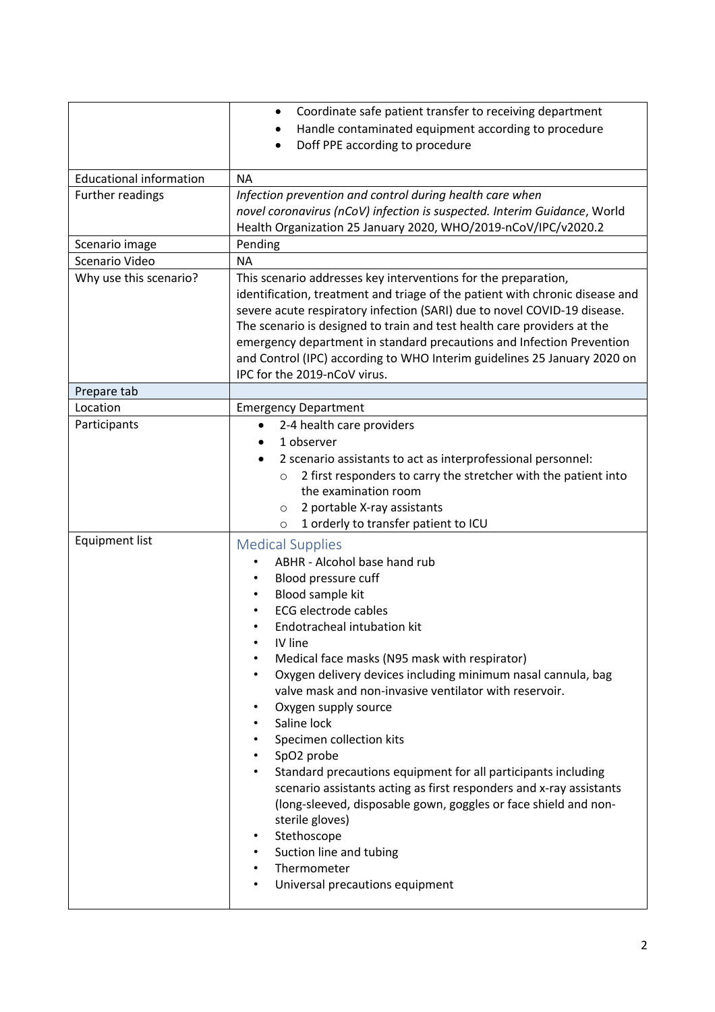|                                | Coordinate safe patient transfer to receiving department<br>$\bullet$<br>Handle contaminated equipment according to procedure   |
|--------------------------------|---------------------------------------------------------------------------------------------------------------------------------|
|                                | Doff PPE according to procedure                                                                                                 |
| <b>Educational information</b> | <b>NA</b>                                                                                                                       |
| Further readings               | Infection prevention and control during health care when                                                                        |
|                                | novel coronavirus (nCoV) infection is suspected. Interim Guidance, World                                                        |
|                                | Health Organization 25 January 2020, WHO/2019-nCoV/IPC/v2020.2                                                                  |
| Scenario image                 | Pending                                                                                                                         |
| Scenario Video                 | <b>NA</b>                                                                                                                       |
| Why use this scenario?         | This scenario addresses key interventions for the preparation,                                                                  |
|                                | identification, treatment and triage of the patient with chronic disease and                                                    |
|                                | severe acute respiratory infection (SARI) due to novel COVID-19 disease.                                                        |
|                                | The scenario is designed to train and test health care providers at the                                                         |
|                                | emergency department in standard precautions and Infection Prevention                                                           |
|                                | and Control (IPC) according to WHO Interim guidelines 25 January 2020 on                                                        |
|                                | IPC for the 2019-nCoV virus.                                                                                                    |
| Prepare tab                    |                                                                                                                                 |
| Location<br>Participants       | <b>Emergency Department</b><br>2-4 health care providers                                                                        |
|                                | 1 observer                                                                                                                      |
|                                |                                                                                                                                 |
|                                | 2 scenario assistants to act as interprofessional personnel:<br>2 first responders to carry the stretcher with the patient into |
|                                | $\circ$<br>the examination room                                                                                                 |
|                                | 2 portable X-ray assistants<br>$\circ$                                                                                          |
|                                | 1 orderly to transfer patient to ICU<br>$\circ$                                                                                 |
| <b>Equipment list</b>          | <b>Medical Supplies</b>                                                                                                         |
|                                | ABHR - Alcohol base hand rub                                                                                                    |
|                                | Blood pressure cuff                                                                                                             |
|                                | Blood sample kit                                                                                                                |
|                                | <b>ECG</b> electrode cables                                                                                                     |
|                                | Endotracheal intubation kit                                                                                                     |
|                                | IV line                                                                                                                         |
|                                | Medical face masks (N95 mask with respirator)                                                                                   |
|                                | Oxygen delivery devices including minimum nasal cannula, bag                                                                    |
|                                | valve mask and non-invasive ventilator with reservoir.                                                                          |
|                                | Oxygen supply source<br>٠                                                                                                       |
|                                | Saline lock                                                                                                                     |
|                                | Specimen collection kits                                                                                                        |
|                                | SpO2 probe                                                                                                                      |
|                                | Standard precautions equipment for all participants including                                                                   |
|                                | scenario assistants acting as first responders and x-ray assistants                                                             |
|                                | (long-sleeved, disposable gown, goggles or face shield and non-                                                                 |
|                                | sterile gloves)                                                                                                                 |
|                                | Stethoscope                                                                                                                     |
|                                | Suction line and tubing                                                                                                         |
|                                | Thermometer                                                                                                                     |
|                                | Universal precautions equipment                                                                                                 |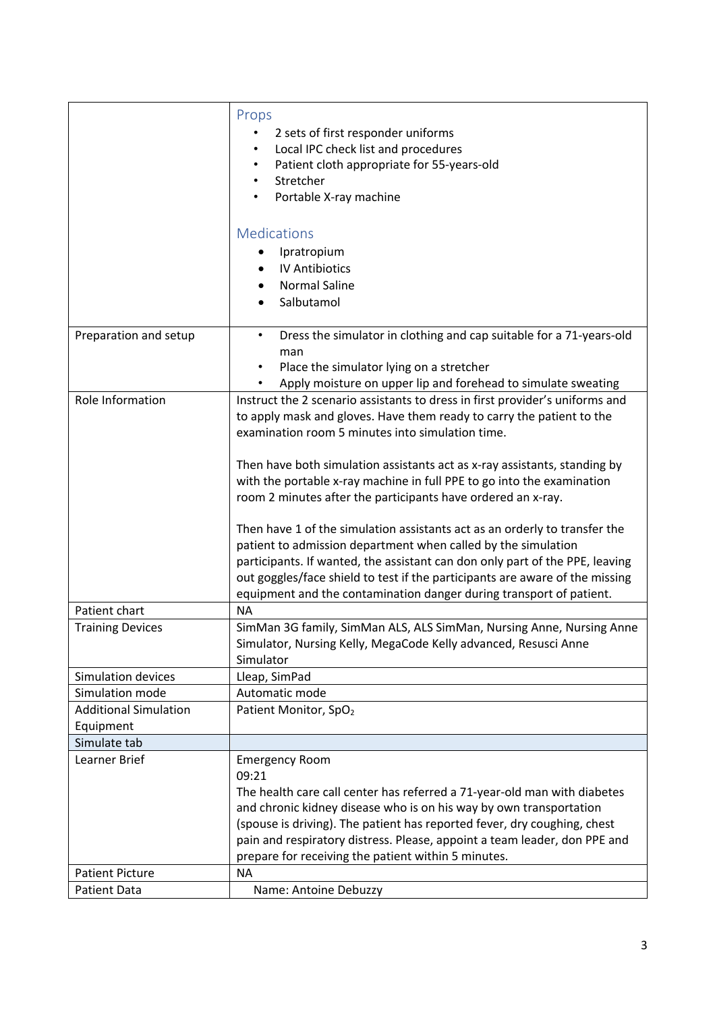|                              | Props                                                                                                                                   |
|------------------------------|-----------------------------------------------------------------------------------------------------------------------------------------|
|                              | 2 sets of first responder uniforms                                                                                                      |
|                              | Local IPC check list and procedures                                                                                                     |
|                              | Patient cloth appropriate for 55-years-old                                                                                              |
|                              | Stretcher                                                                                                                               |
|                              | Portable X-ray machine                                                                                                                  |
|                              |                                                                                                                                         |
|                              | <b>Medications</b>                                                                                                                      |
|                              | Ipratropium                                                                                                                             |
|                              | <b>IV Antibiotics</b>                                                                                                                   |
|                              | <b>Normal Saline</b>                                                                                                                    |
|                              | Salbutamol                                                                                                                              |
|                              |                                                                                                                                         |
| Preparation and setup        | Dress the simulator in clothing and cap suitable for a 71-years-old<br>$\bullet$                                                        |
|                              | man                                                                                                                                     |
|                              | Place the simulator lying on a stretcher                                                                                                |
|                              | Apply moisture on upper lip and forehead to simulate sweating                                                                           |
| Role Information             | Instruct the 2 scenario assistants to dress in first provider's uniforms and                                                            |
|                              | to apply mask and gloves. Have them ready to carry the patient to the                                                                   |
|                              | examination room 5 minutes into simulation time.                                                                                        |
|                              |                                                                                                                                         |
|                              | Then have both simulation assistants act as x-ray assistants, standing by                                                               |
|                              | with the portable x-ray machine in full PPE to go into the examination                                                                  |
|                              | room 2 minutes after the participants have ordered an x-ray.                                                                            |
|                              |                                                                                                                                         |
|                              | Then have 1 of the simulation assistants act as an orderly to transfer the                                                              |
|                              | patient to admission department when called by the simulation                                                                           |
|                              | participants. If wanted, the assistant can don only part of the PPE, leaving                                                            |
|                              | out goggles/face shield to test if the participants are aware of the missing                                                            |
|                              | equipment and the contamination danger during transport of patient.                                                                     |
| Patient chart                | <b>NA</b>                                                                                                                               |
| <b>Training Devices</b>      | SimMan 3G family, SimMan ALS, ALS SimMan, Nursing Anne, Nursing Anne<br>Simulator, Nursing Kelly, MegaCode Kelly advanced, Resusci Anne |
|                              | Simulator                                                                                                                               |
| Simulation devices           | Lleap, SimPad                                                                                                                           |
| Simulation mode              | Automatic mode                                                                                                                          |
| <b>Additional Simulation</b> | Patient Monitor, SpO <sub>2</sub>                                                                                                       |
| Equipment                    |                                                                                                                                         |
| Simulate tab                 |                                                                                                                                         |
| Learner Brief                | <b>Emergency Room</b>                                                                                                                   |
|                              | 09:21                                                                                                                                   |
|                              | The health care call center has referred a 71-year-old man with diabetes                                                                |
|                              | and chronic kidney disease who is on his way by own transportation                                                                      |
|                              | (spouse is driving). The patient has reported fever, dry coughing, chest                                                                |
|                              | pain and respiratory distress. Please, appoint a team leader, don PPE and                                                               |
|                              | prepare for receiving the patient within 5 minutes.                                                                                     |
| <b>Patient Picture</b>       | <b>NA</b>                                                                                                                               |
| <b>Patient Data</b>          | Name: Antoine Debuzzy                                                                                                                   |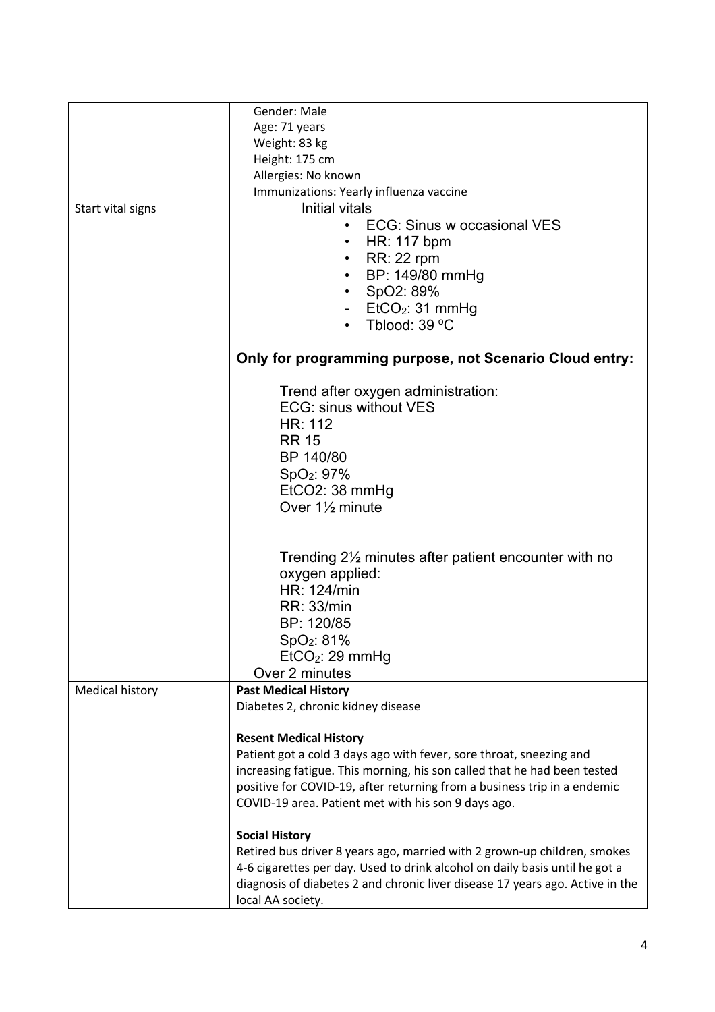|                        | Gender: Male                                                                  |
|------------------------|-------------------------------------------------------------------------------|
|                        |                                                                               |
|                        | Age: 71 years                                                                 |
|                        | Weight: 83 kg                                                                 |
|                        | Height: 175 cm                                                                |
|                        | Allergies: No known                                                           |
|                        | Immunizations: Yearly influenza vaccine                                       |
| Start vital signs      | Initial vitals                                                                |
|                        | <b>ECG: Sinus w occasional VES</b><br>$\bullet$                               |
|                        | HR: 117 bpm<br>٠                                                              |
|                        | <b>RR: 22 rpm</b>                                                             |
|                        | BP: 149/80 mmHg<br>$\bullet$                                                  |
|                        | SpO2: 89%                                                                     |
|                        | EtCO <sub>2</sub> : 31 mmHg                                                   |
|                        | Tblood: 39 °C                                                                 |
|                        |                                                                               |
|                        | Only for programming purpose, not Scenario Cloud entry:                       |
|                        | Trend after oxygen administration:                                            |
|                        | <b>ECG: sinus without VES</b>                                                 |
|                        | <b>HR: 112</b>                                                                |
|                        | <b>RR 15</b>                                                                  |
|                        | BP 140/80                                                                     |
|                        | SpO <sub>2</sub> : 97%                                                        |
|                        | EtCO2: 38 mmHg                                                                |
|                        | Over 1 <sup>1/2</sup> minute                                                  |
|                        |                                                                               |
|                        |                                                                               |
|                        | Trending 2 <sup>1/2</sup> minutes after patient encounter with no             |
|                        | oxygen applied:                                                               |
|                        | HR: 124/min                                                                   |
|                        | <b>RR: 33/min</b>                                                             |
|                        | BP: 120/85                                                                    |
|                        |                                                                               |
|                        | SpO <sub>2</sub> : 81%                                                        |
|                        | EtCO <sub>2</sub> : 29 mmHg                                                   |
|                        | Over 2 minutes                                                                |
| <b>Medical history</b> | <b>Past Medical History</b>                                                   |
|                        | Diabetes 2, chronic kidney disease                                            |
|                        | <b>Resent Medical History</b>                                                 |
|                        | Patient got a cold 3 days ago with fever, sore throat, sneezing and           |
|                        | increasing fatigue. This morning, his son called that he had been tested      |
|                        | positive for COVID-19, after returning from a business trip in a endemic      |
|                        | COVID-19 area. Patient met with his son 9 days ago.                           |
|                        | <b>Social History</b>                                                         |
|                        | Retired bus driver 8 years ago, married with 2 grown-up children, smokes      |
|                        | 4-6 cigarettes per day. Used to drink alcohol on daily basis until he got a   |
|                        | diagnosis of diabetes 2 and chronic liver disease 17 years ago. Active in the |
|                        | local AA society.                                                             |
|                        |                                                                               |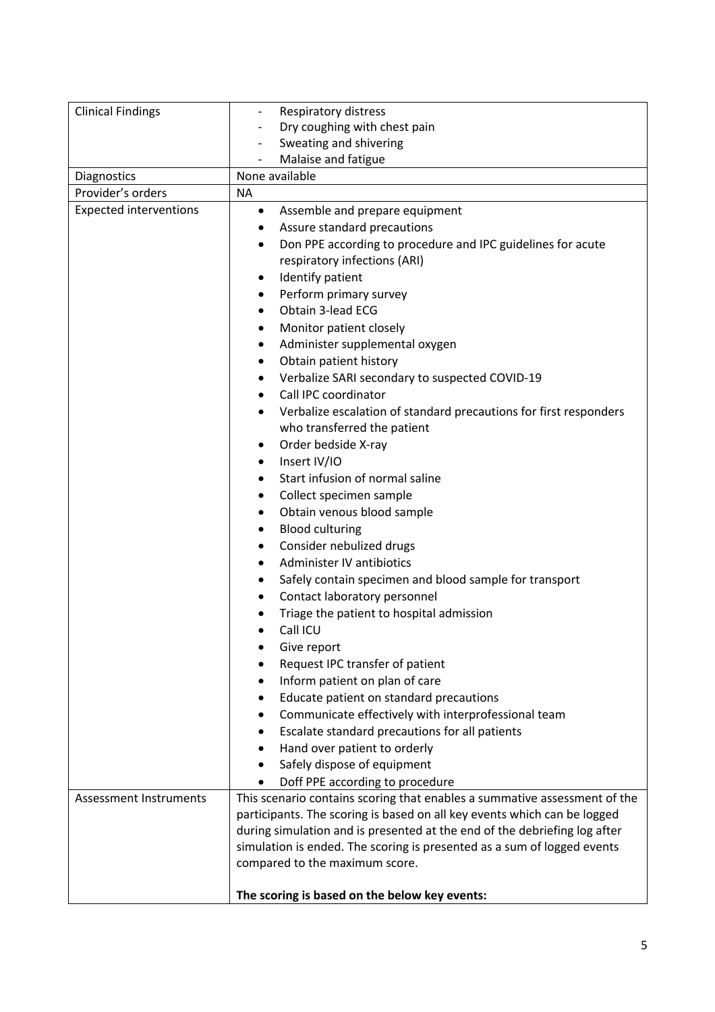| <b>Clinical Findings</b>      | Respiratory distress<br>$\overline{\phantom{a}}$                                                             |
|-------------------------------|--------------------------------------------------------------------------------------------------------------|
|                               | Dry coughing with chest pain                                                                                 |
|                               | Sweating and shivering<br>$\overline{\phantom{a}}$                                                           |
|                               | Malaise and fatigue                                                                                          |
| Diagnostics                   | None available                                                                                               |
| Provider's orders             | <b>NA</b>                                                                                                    |
| <b>Expected interventions</b> | Assemble and prepare equipment<br>٠                                                                          |
|                               | Assure standard precautions<br>٠                                                                             |
|                               | Don PPE according to procedure and IPC guidelines for acute<br>٠                                             |
|                               | respiratory infections (ARI)                                                                                 |
|                               | Identify patient<br>٠                                                                                        |
|                               | Perform primary survey<br>٠                                                                                  |
|                               | Obtain 3-lead ECG<br>$\bullet$                                                                               |
|                               | Monitor patient closely<br>٠                                                                                 |
|                               | Administer supplemental oxygen<br>٠                                                                          |
|                               | Obtain patient history<br>٠                                                                                  |
|                               | Verbalize SARI secondary to suspected COVID-19<br>٠                                                          |
|                               | Call IPC coordinator<br>$\bullet$                                                                            |
|                               | Verbalize escalation of standard precautions for first responders                                            |
|                               | who transferred the patient                                                                                  |
|                               | Order bedside X-ray                                                                                          |
|                               | Insert IV/IO<br>٠                                                                                            |
|                               | Start infusion of normal saline<br>٠                                                                         |
|                               | Collect specimen sample<br>٠                                                                                 |
|                               | Obtain venous blood sample<br>٠                                                                              |
|                               | <b>Blood culturing</b><br>٠                                                                                  |
|                               | Consider nebulized drugs<br>٠                                                                                |
|                               | Administer IV antibiotics<br>٠                                                                               |
|                               | Safely contain specimen and blood sample for transport<br>٠                                                  |
|                               | Contact laboratory personnel<br>٠                                                                            |
|                               | Triage the patient to hospital admission                                                                     |
|                               | Call ICU                                                                                                     |
|                               |                                                                                                              |
|                               | Give report<br>Request IPC transfer of patient                                                               |
|                               | Inform patient on plan of care                                                                               |
|                               | Educate patient on standard precautions                                                                      |
|                               | ٠<br>Communicate effectively with interprofessional team                                                     |
|                               |                                                                                                              |
|                               | Escalate standard precautions for all patients                                                               |
|                               | Hand over patient to orderly                                                                                 |
|                               | Safely dispose of equipment                                                                                  |
|                               | Doff PPE according to procedure<br>This scenario contains scoring that enables a summative assessment of the |
| Assessment Instruments        | participants. The scoring is based on all key events which can be logged                                     |
|                               | during simulation and is presented at the end of the debriefing log after                                    |
|                               | simulation is ended. The scoring is presented as a sum of logged events                                      |
|                               | compared to the maximum score.                                                                               |
|                               |                                                                                                              |
|                               | The scoring is based on the below key events:                                                                |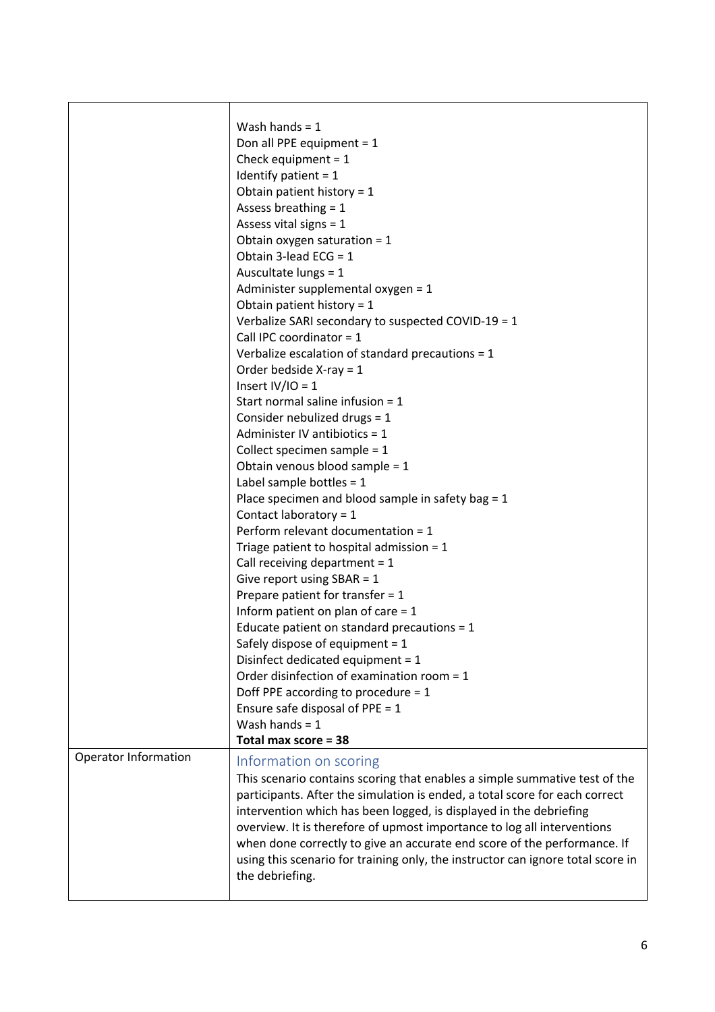|                             | Wash hands = $1$<br>Don all PPE equipment = $1$<br>Check equipment = $1$<br>Identify patient = $1$<br>Obtain patient history = $1$<br>Assess breathing $= 1$<br>Assess vital signs = $1$<br>Obtain oxygen saturation = $1$<br>Obtain 3-lead ECG = $1$<br>Auscultate lungs = 1<br>Administer supplemental oxygen = 1<br>Obtain patient history = $1$<br>Verbalize SARI secondary to suspected COVID-19 = 1<br>Call IPC coordinator = $1$<br>Verbalize escalation of standard precautions = $1$<br>Order bedside $X-ray = 1$<br>Insert $IV/IO = 1$<br>Start normal saline infusion = $1$<br>Consider nebulized drugs = 1<br>Administer IV antibiotics = 1<br>Collect specimen sample = $1$<br>Obtain venous blood sample = 1<br>Label sample bottles = $1$<br>Place specimen and blood sample in safety bag = 1<br>Contact laboratory = $1$<br>Perform relevant documentation = 1<br>Triage patient to hospital admission = $1$<br>Call receiving department = $1$<br>Give report using $SBAR = 1$<br>Prepare patient for transfer = $1$<br>Inform patient on plan of care = $1$<br>Educate patient on standard precautions = 1<br>Safely dispose of equipment = 1<br>Disinfect dedicated equipment = 1<br>Order disinfection of examination room = 1<br>Doff PPE according to procedure = 1<br>Ensure safe disposal of PPE = $1$<br>Wash hands = $1$<br>Total max score = 38 |
|-----------------------------|-----------------------------------------------------------------------------------------------------------------------------------------------------------------------------------------------------------------------------------------------------------------------------------------------------------------------------------------------------------------------------------------------------------------------------------------------------------------------------------------------------------------------------------------------------------------------------------------------------------------------------------------------------------------------------------------------------------------------------------------------------------------------------------------------------------------------------------------------------------------------------------------------------------------------------------------------------------------------------------------------------------------------------------------------------------------------------------------------------------------------------------------------------------------------------------------------------------------------------------------------------------------------------------------------------------------------------------------------------------------------------|
| <b>Operator Information</b> | Information on scoring<br>This scenario contains scoring that enables a simple summative test of the<br>participants. After the simulation is ended, a total score for each correct<br>intervention which has been logged, is displayed in the debriefing<br>overview. It is therefore of upmost importance to log all interventions<br>when done correctly to give an accurate end score of the performance. If<br>using this scenario for training only, the instructor can ignore total score in<br>the debriefing.                                                                                                                                                                                                                                                                                                                                                                                                                                                                                                                                                                                                                                                                                                                                                                                                                                                      |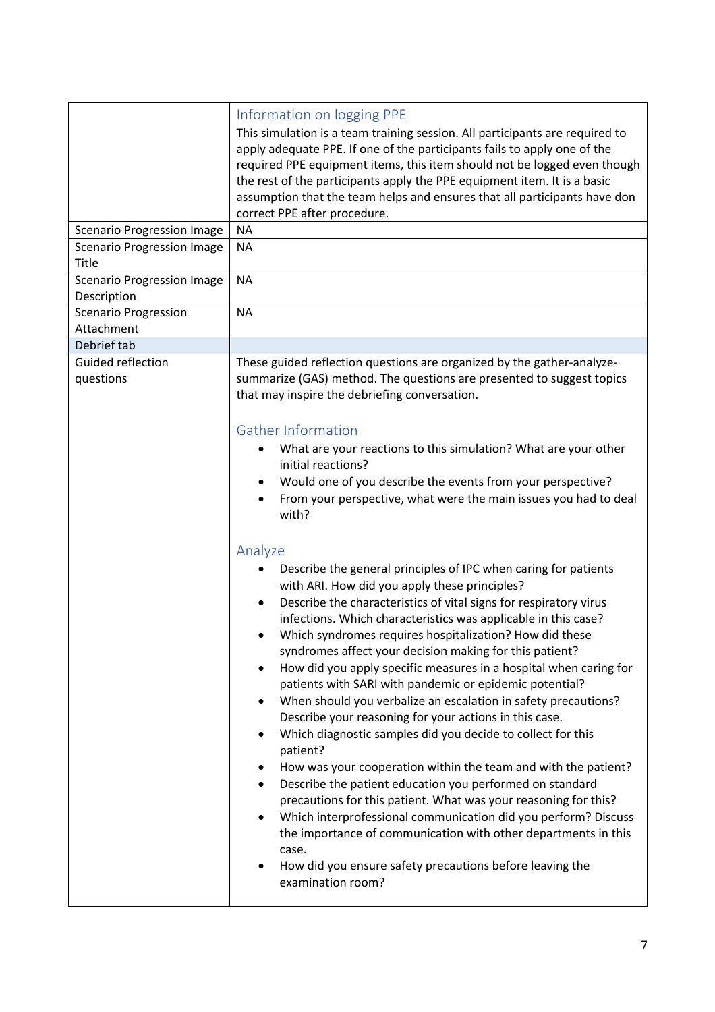| <b>Scenario Progression Image</b>                | Information on logging PPE<br>This simulation is a team training session. All participants are required to<br>apply adequate PPE. If one of the participants fails to apply one of the<br>required PPE equipment items, this item should not be logged even though<br>the rest of the participants apply the PPE equipment item. It is a basic<br>assumption that the team helps and ensures that all participants have don<br>correct PPE after procedure.<br><b>NA</b>                                                                                                                                                                                                                                                                                                                                                                                                                                                                                                                                                                                                                                                                                                    |
|--------------------------------------------------|-----------------------------------------------------------------------------------------------------------------------------------------------------------------------------------------------------------------------------------------------------------------------------------------------------------------------------------------------------------------------------------------------------------------------------------------------------------------------------------------------------------------------------------------------------------------------------------------------------------------------------------------------------------------------------------------------------------------------------------------------------------------------------------------------------------------------------------------------------------------------------------------------------------------------------------------------------------------------------------------------------------------------------------------------------------------------------------------------------------------------------------------------------------------------------|
| <b>Scenario Progression Image</b><br>Title       | <b>NA</b>                                                                                                                                                                                                                                                                                                                                                                                                                                                                                                                                                                                                                                                                                                                                                                                                                                                                                                                                                                                                                                                                                                                                                                   |
| <b>Scenario Progression Image</b><br>Description | <b>NA</b>                                                                                                                                                                                                                                                                                                                                                                                                                                                                                                                                                                                                                                                                                                                                                                                                                                                                                                                                                                                                                                                                                                                                                                   |
| <b>Scenario Progression</b><br>Attachment        | <b>NA</b>                                                                                                                                                                                                                                                                                                                                                                                                                                                                                                                                                                                                                                                                                                                                                                                                                                                                                                                                                                                                                                                                                                                                                                   |
| Debrief tab                                      |                                                                                                                                                                                                                                                                                                                                                                                                                                                                                                                                                                                                                                                                                                                                                                                                                                                                                                                                                                                                                                                                                                                                                                             |
| Guided reflection<br>questions                   | These guided reflection questions are organized by the gather-analyze-<br>summarize (GAS) method. The questions are presented to suggest topics<br>that may inspire the debriefing conversation.                                                                                                                                                                                                                                                                                                                                                                                                                                                                                                                                                                                                                                                                                                                                                                                                                                                                                                                                                                            |
|                                                  | <b>Gather Information</b><br>What are your reactions to this simulation? What are your other<br>initial reactions?<br>Would one of you describe the events from your perspective?<br>From your perspective, what were the main issues you had to deal<br>with?                                                                                                                                                                                                                                                                                                                                                                                                                                                                                                                                                                                                                                                                                                                                                                                                                                                                                                              |
|                                                  | Analyze<br>Describe the general principles of IPC when caring for patients<br>with ARI. How did you apply these principles?<br>Describe the characteristics of vital signs for respiratory virus<br>infections. Which characteristics was applicable in this case?<br>Which syndromes requires hospitalization? How did these<br>syndromes affect your decision making for this patient?<br>How did you apply specific measures in a hospital when caring for<br>$\bullet$<br>patients with SARI with pandemic or epidemic potential?<br>When should you verbalize an escalation in safety precautions?<br>Describe your reasoning for your actions in this case.<br>Which diagnostic samples did you decide to collect for this<br>patient?<br>How was your cooperation within the team and with the patient?<br>Describe the patient education you performed on standard<br>precautions for this patient. What was your reasoning for this?<br>Which interprofessional communication did you perform? Discuss<br>the importance of communication with other departments in this<br>case.<br>How did you ensure safety precautions before leaving the<br>examination room? |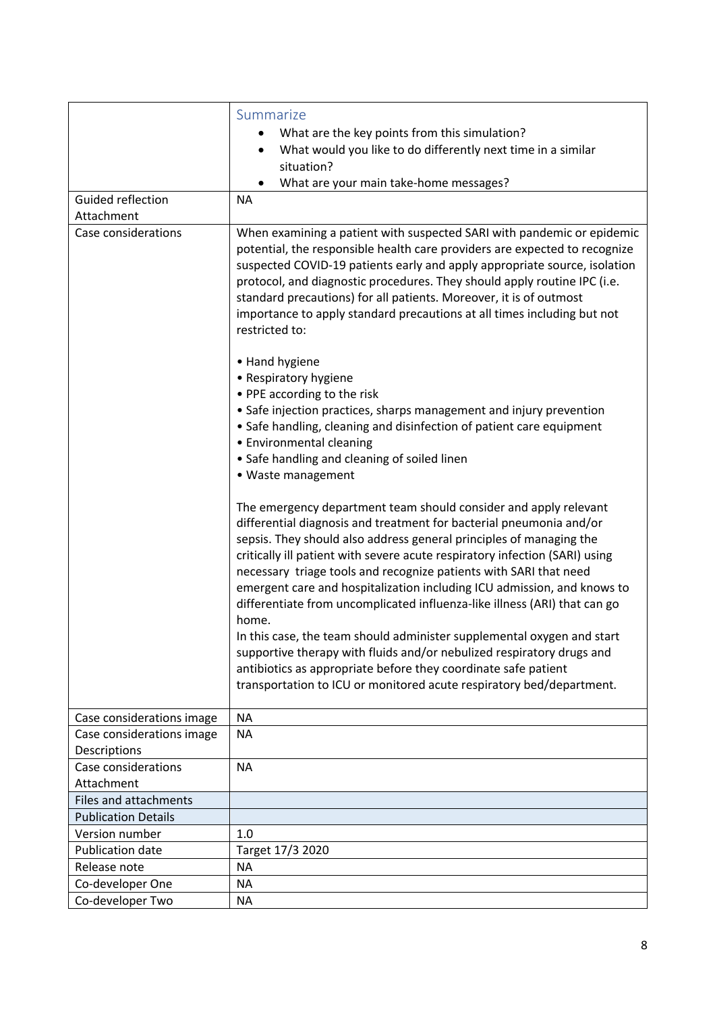|                              | Summarize<br>What are the key points from this simulation?<br>What would you like to do differently next time in a similar<br>situation?                                                                                                                                                                                                                                                                                                                                                                                                                                                                      |
|------------------------------|---------------------------------------------------------------------------------------------------------------------------------------------------------------------------------------------------------------------------------------------------------------------------------------------------------------------------------------------------------------------------------------------------------------------------------------------------------------------------------------------------------------------------------------------------------------------------------------------------------------|
|                              | What are your main take-home messages?                                                                                                                                                                                                                                                                                                                                                                                                                                                                                                                                                                        |
| Guided reflection            | <b>NA</b>                                                                                                                                                                                                                                                                                                                                                                                                                                                                                                                                                                                                     |
| Attachment                   |                                                                                                                                                                                                                                                                                                                                                                                                                                                                                                                                                                                                               |
| Case considerations          | When examining a patient with suspected SARI with pandemic or epidemic<br>potential, the responsible health care providers are expected to recognize<br>suspected COVID-19 patients early and apply appropriate source, isolation<br>protocol, and diagnostic procedures. They should apply routine IPC (i.e.<br>standard precautions) for all patients. Moreover, it is of outmost<br>importance to apply standard precautions at all times including but not<br>restricted to:                                                                                                                              |
|                              | • Hand hygiene                                                                                                                                                                                                                                                                                                                                                                                                                                                                                                                                                                                                |
|                              | • Respiratory hygiene                                                                                                                                                                                                                                                                                                                                                                                                                                                                                                                                                                                         |
|                              | • PPE according to the risk                                                                                                                                                                                                                                                                                                                                                                                                                                                                                                                                                                                   |
|                              | • Safe injection practices, sharps management and injury prevention<br>• Safe handling, cleaning and disinfection of patient care equipment<br>• Environmental cleaning<br>• Safe handling and cleaning of soiled linen                                                                                                                                                                                                                                                                                                                                                                                       |
|                              | • Waste management                                                                                                                                                                                                                                                                                                                                                                                                                                                                                                                                                                                            |
|                              | The emergency department team should consider and apply relevant<br>differential diagnosis and treatment for bacterial pneumonia and/or<br>sepsis. They should also address general principles of managing the<br>critically ill patient with severe acute respiratory infection (SARI) using<br>necessary triage tools and recognize patients with SARI that need<br>emergent care and hospitalization including ICU admission, and knows to<br>differentiate from uncomplicated influenza-like illness (ARI) that can go<br>home.<br>In this case, the team should administer supplemental oxygen and start |
|                              | supportive therapy with fluids and/or nebulized respiratory drugs and                                                                                                                                                                                                                                                                                                                                                                                                                                                                                                                                         |
|                              | antibiotics as appropriate before they coordinate safe patient                                                                                                                                                                                                                                                                                                                                                                                                                                                                                                                                                |
|                              | transportation to ICU or monitored acute respiratory bed/department.                                                                                                                                                                                                                                                                                                                                                                                                                                                                                                                                          |
| Case considerations image    | <b>NA</b>                                                                                                                                                                                                                                                                                                                                                                                                                                                                                                                                                                                                     |
| Case considerations image    | <b>NA</b>                                                                                                                                                                                                                                                                                                                                                                                                                                                                                                                                                                                                     |
| Descriptions                 |                                                                                                                                                                                                                                                                                                                                                                                                                                                                                                                                                                                                               |
| Case considerations          | <b>NA</b>                                                                                                                                                                                                                                                                                                                                                                                                                                                                                                                                                                                                     |
| Attachment                   |                                                                                                                                                                                                                                                                                                                                                                                                                                                                                                                                                                                                               |
| <b>Files and attachments</b> |                                                                                                                                                                                                                                                                                                                                                                                                                                                                                                                                                                                                               |
| <b>Publication Details</b>   |                                                                                                                                                                                                                                                                                                                                                                                                                                                                                                                                                                                                               |
| Version number               | 1.0                                                                                                                                                                                                                                                                                                                                                                                                                                                                                                                                                                                                           |
| <b>Publication date</b>      | Target 17/3 2020                                                                                                                                                                                                                                                                                                                                                                                                                                                                                                                                                                                              |
| Release note                 | <b>NA</b>                                                                                                                                                                                                                                                                                                                                                                                                                                                                                                                                                                                                     |
| Co-developer One             | <b>NA</b>                                                                                                                                                                                                                                                                                                                                                                                                                                                                                                                                                                                                     |
| Co-developer Two             | ΝA                                                                                                                                                                                                                                                                                                                                                                                                                                                                                                                                                                                                            |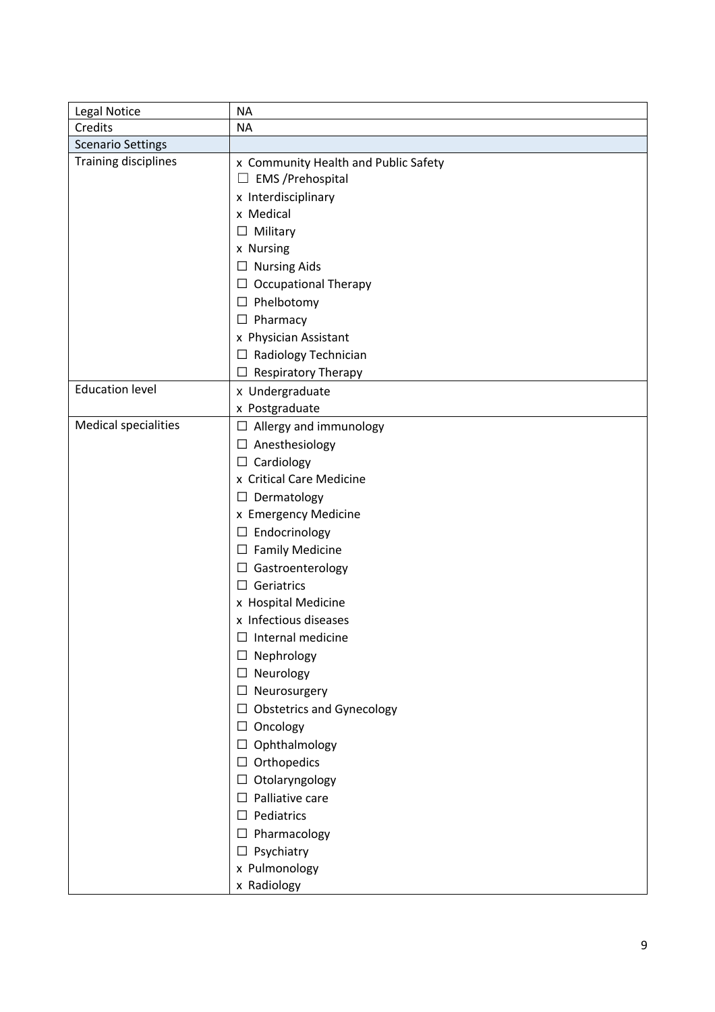| Legal Notice                | <b>NA</b>                                                                  |
|-----------------------------|----------------------------------------------------------------------------|
| Credits                     | <b>NA</b>                                                                  |
| <b>Scenario Settings</b>    |                                                                            |
| Training disciplines        | x Community Health and Public Safety<br><b>EMS</b> / Prehospital<br>$\Box$ |
|                             | x Interdisciplinary                                                        |
|                             | x Medical                                                                  |
|                             | $\Box$ Military                                                            |
|                             | x Nursing                                                                  |
|                             | $\Box$ Nursing Aids                                                        |
|                             | $\Box$ Occupational Therapy                                                |
|                             | $\Box$ Phelbotomy                                                          |
|                             | $\Box$ Pharmacy                                                            |
|                             | x Physician Assistant                                                      |
|                             | $\Box$ Radiology Technician                                                |
|                             | <b>Respiratory Therapy</b><br>$\Box$                                       |
| <b>Education level</b>      | x Undergraduate                                                            |
|                             | x Postgraduate                                                             |
| <b>Medical specialities</b> | $\Box$ Allergy and immunology                                              |
|                             | $\Box$ Anesthesiology                                                      |
|                             | $\Box$ Cardiology                                                          |
|                             | x Critical Care Medicine                                                   |
|                             | $\Box$ Dermatology                                                         |
|                             | x Emergency Medicine                                                       |
|                             | $\Box$ Endocrinology                                                       |
|                             | $\Box$ Family Medicine                                                     |
|                             | Gastroenterology<br>$\Box$                                                 |
|                             | $\Box$ Geriatrics                                                          |
|                             | x Hospital Medicine                                                        |
|                             | x Infectious diseases                                                      |
|                             | $\Box$ Internal medicine                                                   |
|                             | $\Box$ Nephrology                                                          |
|                             | $\Box$ Neurology                                                           |
|                             | $\Box$ Neurosurgery                                                        |
|                             | <b>Obstetrics and Gynecology</b><br>□                                      |
|                             | $\Box$ Oncology                                                            |
|                             | Ophthalmology<br>□                                                         |
|                             | $\Box$ Orthopedics                                                         |
|                             | Otolaryngology<br>⊔                                                        |
|                             | Palliative care<br>$\Box$                                                  |
|                             | $\Box$ Pediatrics                                                          |
|                             | $\Box$ Pharmacology                                                        |
|                             | $\Box$ Psychiatry                                                          |
|                             | x Pulmonology                                                              |
|                             | x Radiology                                                                |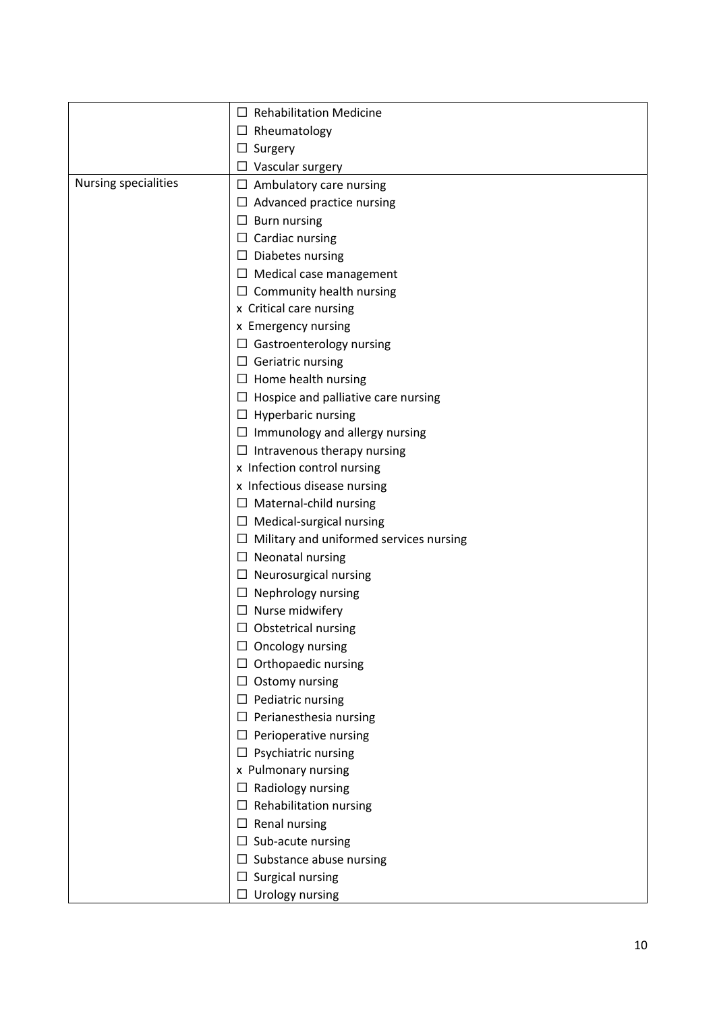|                      | $\Box$ Rehabilitation Medicine                 |
|----------------------|------------------------------------------------|
|                      | $\Box$ Rheumatology                            |
|                      | $\Box$ Surgery                                 |
|                      | $\Box$ Vascular surgery                        |
| Nursing specialities | $\Box$ Ambulatory care nursing                 |
|                      | $\Box$ Advanced practice nursing               |
|                      | $\Box$ Burn nursing                            |
|                      | $\Box$ Cardiac nursing                         |
|                      | $\Box$ Diabetes nursing                        |
|                      | $\Box$ Medical case management                 |
|                      | $\Box$ Community health nursing                |
|                      | x Critical care nursing                        |
|                      | x Emergency nursing                            |
|                      | $\Box$ Gastroenterology nursing                |
|                      | $\Box$ Geriatric nursing                       |
|                      | $\Box$ Home health nursing                     |
|                      | $\Box$ Hospice and palliative care nursing     |
|                      | $\Box$ Hyperbaric nursing                      |
|                      | $\Box$ Immunology and allergy nursing          |
|                      | $\Box$ Intravenous therapy nursing             |
|                      | x Infection control nursing                    |
|                      | x Infectious disease nursing                   |
|                      | $\Box$ Maternal-child nursing                  |
|                      | $\Box$ Medical-surgical nursing                |
|                      | $\Box$ Military and uniformed services nursing |
|                      | $\Box$ Neonatal nursing                        |
|                      | $\Box$ Neurosurgical nursing                   |
|                      | $\Box$ Nephrology nursing                      |
|                      | $\Box$ Nurse midwifery                         |
|                      | $\Box$ Obstetrical nursing                     |
|                      | Oncology nursing                               |
|                      | $\Box$ Orthopaedic nursing                     |
|                      | $\Box$ Ostomy nursing                          |
|                      | $\Box$ Pediatric nursing                       |
|                      | $\Box$ Perianesthesia nursing                  |
|                      | $\Box$ Perioperative nursing                   |
|                      | $\Box$ Psychiatric nursing                     |
|                      | x Pulmonary nursing                            |
|                      | $\Box$ Radiology nursing                       |
|                      | $\Box$ Rehabilitation nursing                  |
|                      | $\Box$ Renal nursing                           |
|                      | $\Box$ Sub-acute nursing                       |
|                      | $\Box$ Substance abuse nursing                 |
|                      | $\Box$ Surgical nursing                        |
|                      | $\Box$ Urology nursing                         |